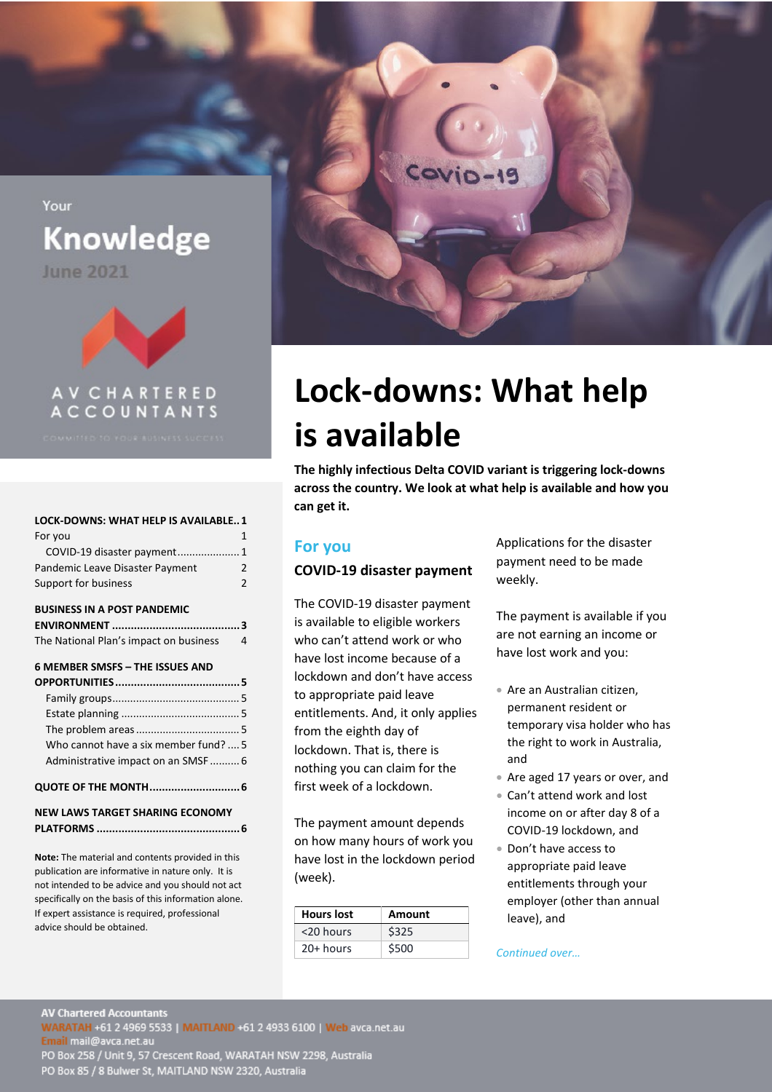**Knowledge** 

**June 2021** 

<span id="page-0-0"></span>Your



**ACCOUNTANTS** 

# **[LOCK-DOWNS: WHAT HELP IS AVAILABLE..1](#page-0-0)** [For you](#page-0-1) 1

| COVID-19 disaster payment 1     |   |
|---------------------------------|---|
| Pandemic Leave Disaster Payment | 2 |
| Support for business            | 2 |

#### **[BUSINESS IN A POST PANDEMIC](#page-2-0)**

| The National Plan's impact on business | 4 |
|----------------------------------------|---|

#### **[6 MEMBER SMSFS –](#page-4-0) THE ISSUES AND**

| Who cannot have a six member fund?  5  |  |  |
|----------------------------------------|--|--|
| Administrative impact on an SMSF 6     |  |  |
|                                        |  |  |
| <b>NEW LAWS TARGET SHARING ECONOMY</b> |  |  |

**PLATFORMS [..............................................6](#page-5-2)**

**Note:** The material and contents provided in this publication are informative in nature only. It is not intended to be advice and you should not act specifically on the basis of this information alone. If expert assistance is required, professional advice should be obtained.



# **Lock-downs: What help is available**

**The highly infectious Delta COVID variant is triggering lock-downs across the country. We look at what help is available and how you can get it.** 

## <span id="page-0-1"></span>**For you**

## <span id="page-0-2"></span>**COVID-19 disaster payment**

The COVID-19 disaster payment is available to eligible workers who can't attend work or who have lost income because of a lockdown and don't have access to appropriate paid leave entitlements. And, it only applies from the eighth day of lockdown. That is, there is nothing you can claim for the first week of a lockdown.

The payment amount depends on how many hours of work you have lost in the lockdown period (week).

| <b>Hours lost</b> | Amount |
|-------------------|--------|
| <20 hours         | \$325  |
| $20+$ hours       | \$500  |

Applications for the disaster payment need to be made weekly.

The payment is available if you are not earning an income or have lost work and you:

- Are an Australian citizen, permanent resident or temporary visa holder who has the right to work in Australia, and
- Are aged 17 years or over, and
- Can't attend work and lost income on or after day 8 of a COVID-19 lockdown, and
- Don't have access to appropriate paid leave entitlements through your employer (other than annual leave), and

*Continued over…*

**AV Chartered Accountants** WARATAH +61 2 4969 5533 | MAITLAND +61 2 4933 6100 | Web avca.net.au<br>Email mail@avca.net.au<br>PO Box 258 / Unit 9, 57 Crescent Road, WARATAH NSW 2298, Australia PO Box 85 / 8 Bulwer St, MAITLAND NSW 2320, Australia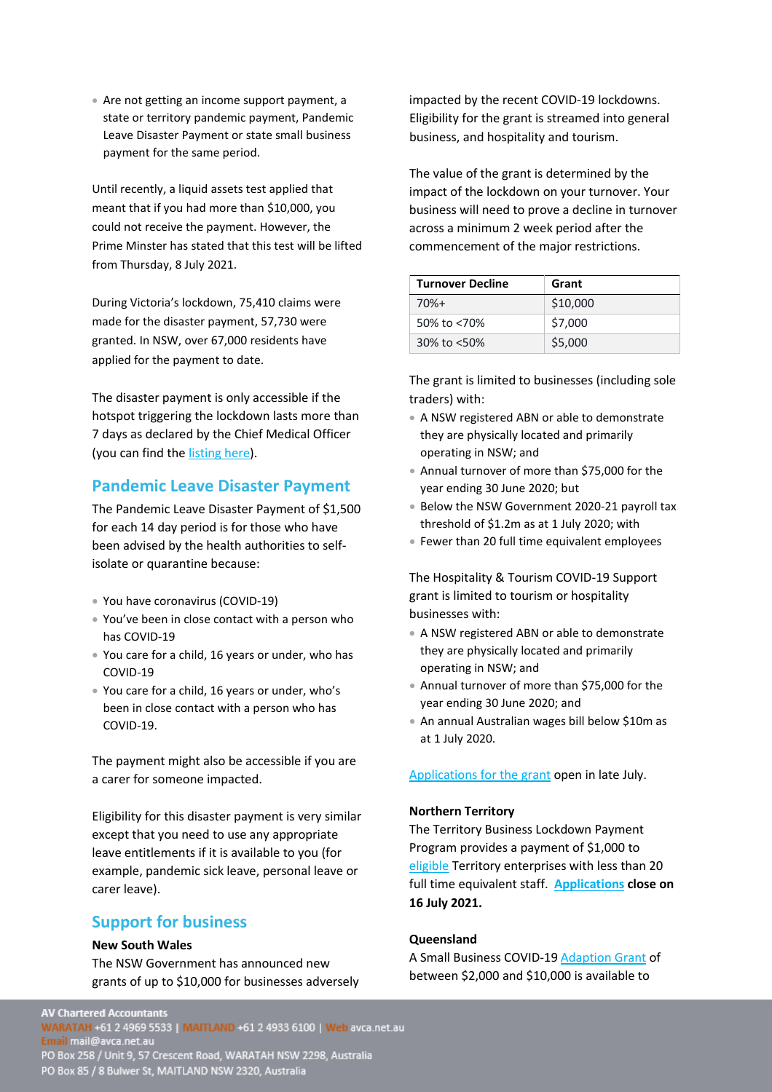• Are not getting an income support payment, a state or territory pandemic payment, Pandemic Leave Disaster Payment or state small business payment for the same period.

Until recently, a liquid assets test applied that meant that if you had more than \$10,000, you could not receive the payment. However, the Prime Minster has stated that this test will be lifted from Thursday, 8 July 2021.

During Victoria's lockdown, 75,410 claims were made for the disaster payment, 57,730 were granted. In NSW, over 67,000 residents have applied for the payment to date.

The disaster payment is only accessible if the hotspot triggering the lockdown lasts more than 7 days as declared by the Chief Medical Officer (you can find the [listing here\)](https://www.servicesaustralia.gov.au/individuals/services/centrelink/covid-19-disaster-payment/who-can-get-it).

# <span id="page-1-0"></span>**Pandemic Leave Disaster Payment**

The Pandemic Leave Disaster Payment of \$1,500 for each 14 day period is for those who have been advised by the health authorities to selfisolate or quarantine because:

- You have coronavirus (COVID-19)
- You've been in close contact with a person who has COVID-19
- You care for a child, 16 years or under, who has COVID-19
- You care for a child, 16 years or under, who's been in close contact with a person who has COVID-19.

The payment might also be accessible if you are a carer for someone impacted.

Eligibility for this disaster payment is very similar except that you need to use any appropriate leave entitlements if it is available to you (for example, pandemic sick leave, personal leave or carer leave).

## <span id="page-1-1"></span>**Support for business**

#### **New South Wales**

The NSW Government has announced new grants of up to \$10,000 for businesses adversely impacted by the recent COVID-19 lockdowns. Eligibility for the grant is streamed into general business, and hospitality and tourism.

The value of the grant is determined by the impact of the lockdown on your turnover. Your business will need to prove a decline in turnover across a minimum 2 week period after the commencement of the major restrictions.

| <b>Turnover Decline</b> | Grant    |
|-------------------------|----------|
| $70%+$                  | \$10,000 |
| 50% to <70%             | \$7,000  |
| 30% to <50%             | \$5,000  |

The grant is limited to businesses (including sole traders) with:

- A NSW registered ABN or able to demonstrate they are physically located and primarily operating in NSW; and
- Annual turnover of more than \$75,000 for the year ending 30 June 2020; but
- Below the NSW Government 2020-21 payroll tax threshold of \$1.2m as at 1 July 2020; with
- Fewer than 20 full time equivalent employees

The Hospitality & Tourism COVID-19 Support grant is limited to tourism or hospitality businesses with:

- A NSW registered ABN or able to demonstrate they are physically located and primarily operating in NSW; and
- Annual turnover of more than \$75,000 for the year ending 30 June 2020; and
- An annual Australian wages bill below \$10m as at 1 July 2020.

[Applications for the grant](https://www.service.nsw.gov.au/transaction/apply-covid-19-business-support-grant) open in late July.

#### **Northern Territory**

The Territory Business Lockdown Payment Program provides a payment of \$1,000 to [eligible](https://businessrecovery.nt.gov.au/terms-and-conditions) Territory enterprises with less than 20 full time equivalent staff. **[Applications](https://businessnt.smartygrants.com.au/lockdownpayment) close on 16 July 2021.**

#### **Queensland**

A Small Business COVID-1[9 Adaption Grant](https://www.business.qld.gov.au/starting-business/advice-support/grants/adaption) of between \$2,000 and \$10,000 is available to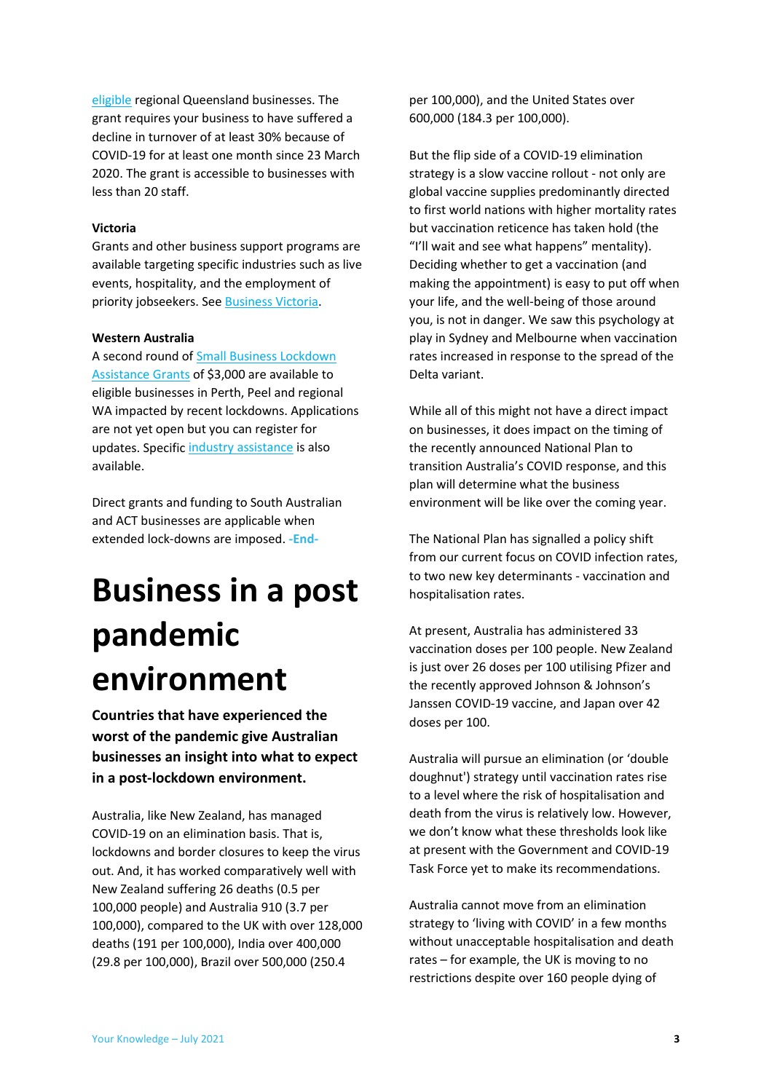[eligible](https://www.business.qld.gov.au/starting-business/advice-support/grants/adaption#eligibility) regional Queensland businesses. The grant requires your business to have suffered a decline in turnover of at least 30% because of COVID-19 for at least one month since 23 March 2020. The grant is accessible to businesses with less than 20 staff.

#### **Victoria**

Grants and other business support programs are available targeting specific industries such as live events, hospitality, and the employment of priority jobseekers. Se[e Business Victoria.](https://business.vic.gov.au/grants-and-programs)

#### **Western Australia**

A second round o[f Small Business Lockdown](https://www.smallbusiness.wa.gov.au/lockdown-assistance)  [Assistance Grants](https://www.smallbusiness.wa.gov.au/lockdown-assistance) of \$3,000 are available to eligible businesses in Perth, Peel and regional WA impacted by recent lockdowns. Applications are not yet open but you can register for updates. Specific [industry assistance](https://www.wa.gov.au/organisation/department-of-the-premier-and-cabinet/covid-19-coronavirus-support-business) is also available.

Direct grants and funding to South Australian and ACT businesses are applicable when extended lock-downs are imposed. **-End-**

# <span id="page-2-0"></span>**Business in a post pandemic environment**

**Countries that have experienced the worst of the pandemic give Australian businesses an insight into what to expect in a post-lockdown environment.**

Australia, like New Zealand, has managed COVID-19 on an elimination basis. That is, lockdowns and border closures to keep the virus out. And, it has worked comparatively well with New Zealand suffering 26 deaths (0.5 per 100,000 people) and Australia 910 (3.7 per 100,000), compared to the UK with over 128,000 deaths (191 per 100,000), India over 400,000 (29.8 per 100,000), Brazil over 500,000 (250.4

per 100,000), and the United States over 600,000 (184.3 per 100,000).

But the flip side of a COVID-19 elimination strategy is a slow vaccine rollout - not only are global vaccine supplies predominantly directed to first world nations with higher mortality rates but vaccination reticence has taken hold (the "I'll wait and see what happens" mentality). Deciding whether to get a vaccination (and making the appointment) is easy to put off when your life, and the well-being of those around you, is not in danger. We saw this psychology at play in Sydney and Melbourne when vaccination rates increased in response to the spread of the Delta variant.

While all of this might not have a direct impact on businesses, it does impact on the timing of the recently announced National Plan to transition Australia's COVID response, and this plan will determine what the business environment will be like over the coming year.

The National Plan has signalled a policy shift from our current focus on COVID infection rates, to two new key determinants - vaccination and hospitalisation rates.

At present, Australia has administered 33 vaccination doses per 100 people. New Zealand is just over 26 doses per 100 utilising Pfizer and the recently approved Johnson & Johnson's Janssen COVID-19 vaccine, and Japan over 42 doses per 100.

Australia will pursue an elimination (or 'double doughnut') strategy until vaccination rates rise to a level where the risk of hospitalisation and death from the virus is relatively low. However, we don't know what these thresholds look like at present with the Government and COVID-19 Task Force yet to make its recommendations.

Australia cannot move from an elimination strategy to 'living with COVID' in a few months without unacceptable hospitalisation and death rates – for example, the UK is moving to no restrictions despite over 160 people dying of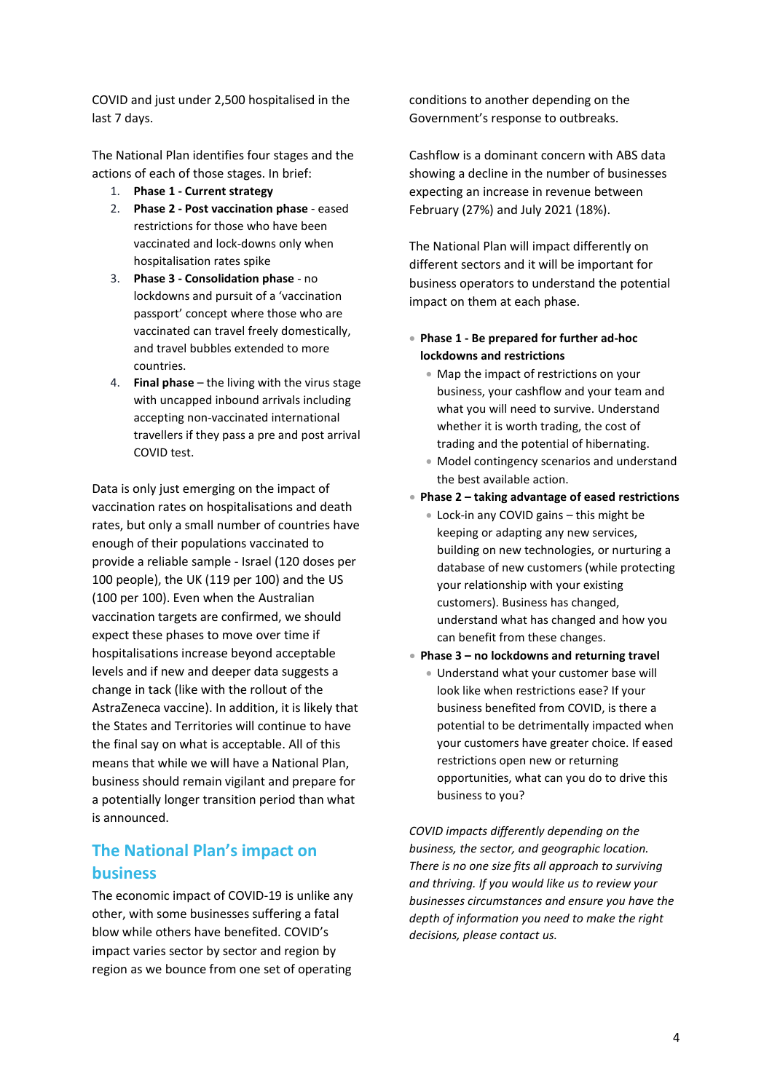COVID and just under 2,500 hospitalised in the last 7 days.

The National Plan identifies four stages and the actions of each of those stages. In brief:

- 1. **Phase 1 - Current strategy**
- 2. **Phase 2 - Post vaccination phase** eased restrictions for those who have been vaccinated and lock-downs only when hospitalisation rates spike
- 3. **Phase 3 - Consolidation phase** no lockdowns and pursuit of a 'vaccination passport' concept where those who are vaccinated can travel freely domestically, and travel bubbles extended to more countries.
- 4. **Final phase** the living with the virus stage with uncapped inbound arrivals including accepting non-vaccinated international travellers if they pass a pre and post arrival COVID test.

Data is only just emerging on the impact of vaccination rates on hospitalisations and death rates, but only a small number of countries have enough of their populations vaccinated to provide a reliable sample - Israel (120 doses per 100 people), the UK (119 per 100) and the US (100 per 100). Even when the Australian vaccination targets are confirmed, we should expect these phases to move over time if hospitalisations increase beyond acceptable levels and if new and deeper data suggests a change in tack (like with the rollout of the AstraZeneca vaccine). In addition, it is likely that the States and Territories will continue to have the final say on what is acceptable. All of this means that while we will have a National Plan, business should remain vigilant and prepare for a potentially longer transition period than what is announced.

# <span id="page-3-0"></span>**The National Plan's impact on business**

The economic impact of COVID-19 is unlike any other, with some businesses suffering a fatal blow while others have benefited. COVID's impact varies sector by sector and region by region as we bounce from one set of operating conditions to another depending on the Government's response to outbreaks.

Cashflow is a dominant concern with ABS data showing a decline in the number of businesses expecting an increase in revenue between February (27%) and July 2021 (18%).

The National Plan will impact differently on different sectors and it will be important for business operators to understand the potential impact on them at each phase.

- **Phase 1 - Be prepared for further ad-hoc lockdowns and restrictions** 
	- Map the impact of restrictions on your business, your cashflow and your team and what you will need to survive. Understand whether it is worth trading, the cost of trading and the potential of hibernating.
	- Model contingency scenarios and understand the best available action.
- **Phase 2 – taking advantage of eased restrictions**
	- Lock-in any COVID gains this might be keeping or adapting any new services, building on new technologies, or nurturing a database of new customers (while protecting your relationship with your existing customers). Business has changed, understand what has changed and how you can benefit from these changes.
- **Phase 3 – no lockdowns and returning travel**
	- Understand what your customer base will look like when restrictions ease? If your business benefited from COVID, is there a potential to be detrimentally impacted when your customers have greater choice. If eased restrictions open new or returning opportunities, what can you do to drive this business to you?

*COVID impacts differently depending on the business, the sector, and geographic location. There is no one size fits all approach to surviving and thriving. If you would like us to review your businesses circumstances and ensure you have the depth of information you need to make the right decisions, please contact us.*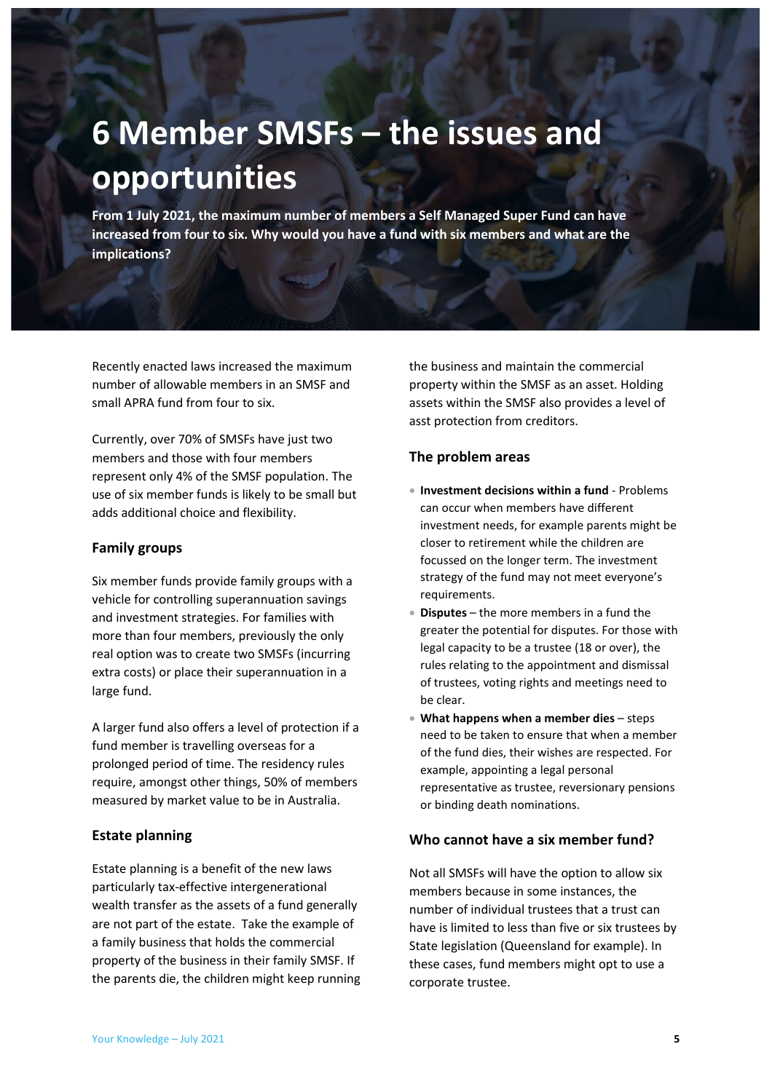# <span id="page-4-0"></span>**6 Member SMSFs – the issues and opportunities**

**From 1 July 2021, the maximum number of members a Self Managed Super Fund can have increased from four to six. Why would you have a fund with six members and what are the implications?**

Recently enacted laws increased the maximum number of allowable members in an SMSF and small APRA fund from four to six.

Currently, over 70% of SMSFs have just two members and those with four members represent only 4% of the SMSF population. The use of six member funds is likely to be small but adds additional choice and flexibility.

### <span id="page-4-1"></span>**Family groups**

Six member funds provide family groups with a vehicle for controlling superannuation savings and investment strategies. For families with more than four members, previously the only real option was to create two SMSFs (incurring extra costs) or place their superannuation in a large fund.

A larger fund also offers a level of protection if a fund member is travelling overseas for a prolonged period of time. The residency rules require, amongst other things, 50% of members measured by market value to be in Australia.

## <span id="page-4-2"></span>**Estate planning**

Estate planning is a benefit of the new laws particularly tax-effective intergenerational wealth transfer as the assets of a fund generally are not part of the estate. Take the example of a family business that holds the commercial property of the business in their family SMSF. If the parents die, the children might keep running the business and maintain the commercial property within the SMSF as an asset. Holding assets within the SMSF also provides a level of asst protection from creditors.

## <span id="page-4-3"></span>**The problem areas**

- **Investment decisions within a fund** Problems can occur when members have different investment needs, for example parents might be closer to retirement while the children are focussed on the longer term. The investment strategy of the fund may not meet everyone's requirements.
- **Disputes** the more members in a fund the greater the potential for disputes. For those with legal capacity to be a trustee (18 or over), the rules relating to the appointment and dismissal of trustees, voting rights and meetings need to be clear.
- **What happens when a member dies** steps need to be taken to ensure that when a member of the fund dies, their wishes are respected. For example, appointing a legal personal representative as trustee, reversionary pensions or binding death nominations.

## <span id="page-4-4"></span>**Who cannot have a six member fund?**

Not all SMSFs will have the option to allow six members because in some instances, the number of individual trustees that a trust can have is limited to less than five or six trustees by State legislation (Queensland for example). In these cases, fund members might opt to use a corporate trustee.